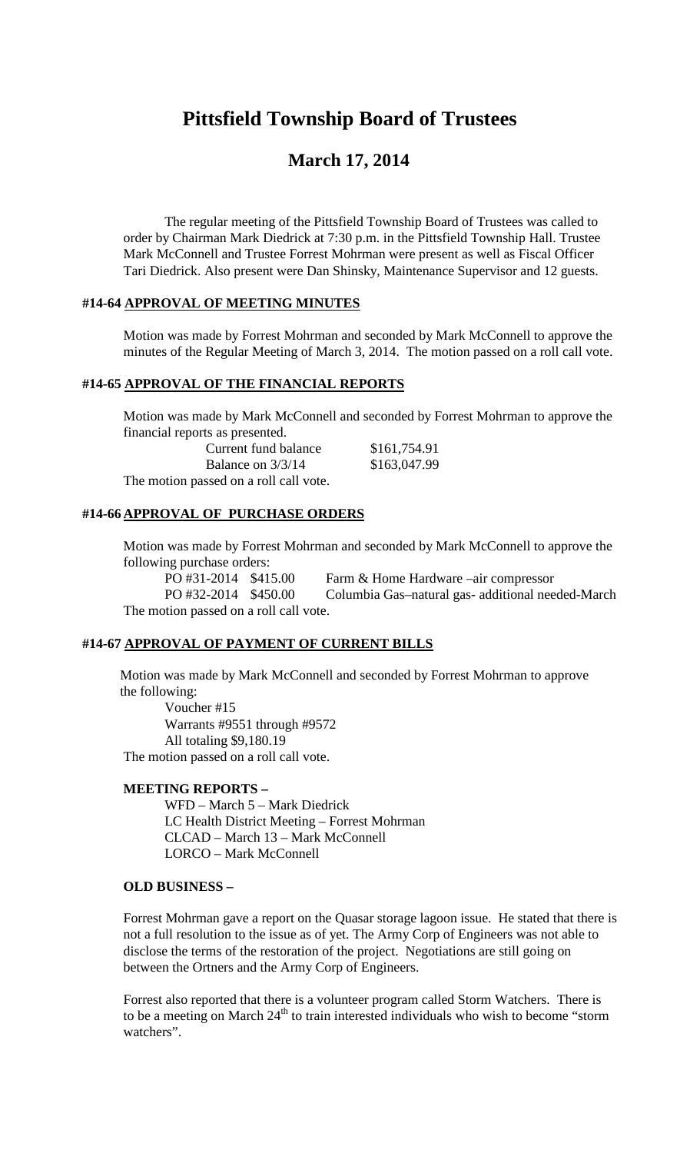# **Pittsfield Township Board of Trustees**

# **March 17, 2014**

The regular meeting of the Pittsfield Township Board of Trustees was called to order by Chairman Mark Diedrick at 7:30 p.m. in the Pittsfield Township Hall. Trustee Mark McConnell and Trustee Forrest Mohrman were present as well as Fiscal Officer Tari Diedrick. Also present were Dan Shinsky, Maintenance Supervisor and 12 guests.

#### **#14-64 APPROVAL OF MEETING MINUTES**

Motion was made by Forrest Mohrman and seconded by Mark McConnell to approve the minutes of the Regular Meeting of March 3, 2014. The motion passed on a roll call vote.

#### **#14-65 APPROVAL OF THE FINANCIAL REPORTS**

Motion was made by Mark McConnell and seconded by Forrest Mohrman to approve the financial reports as presented.

| Current fund balance                   | \$161,754.91 |
|----------------------------------------|--------------|
| Balance on $3/3/14$                    | \$163,047.99 |
| The motion passed on a roll call vote. |              |

#### **#14-66 APPROVAL OF PURCHASE ORDERS**

Motion was made by Forrest Mohrman and seconded by Mark McConnell to approve the following purchase orders:<br>PO #31-2014 \$415.00

Farm & Home Hardware –air compressor PO #32-2014 \$450.00 Columbia Gas–natural gas- additional needed-March The motion passed on a roll call vote.

#### **#14-67 APPROVAL OF PAYMENT OF CURRENT BILLS**

Motion was made by Mark McConnell and seconded by Forrest Mohrman to approve the following:

Voucher #15 Warrants #9551 through #9572 All totaling \$9,180.19 The motion passed on a roll call vote.

# **MEETING REPORTS –**

WFD – March 5 – Mark Diedrick LC Health District Meeting – Forrest Mohrman CLCAD – March 13 – Mark McConnell LORCO – Mark McConnell

#### **OLD BUSINESS –**

Forrest Mohrman gave a report on the Quasar storage lagoon issue. He stated that there is not a full resolution to the issue as of yet. The Army Corp of Engineers was not able to disclose the terms of the restoration of the project. Negotiations are still going on between the Ortners and the Army Corp of Engineers.

Forrest also reported that there is a volunteer program called Storm Watchers. There is to be a meeting on March  $24<sup>th</sup>$  to train interested individuals who wish to become "storm" watchers".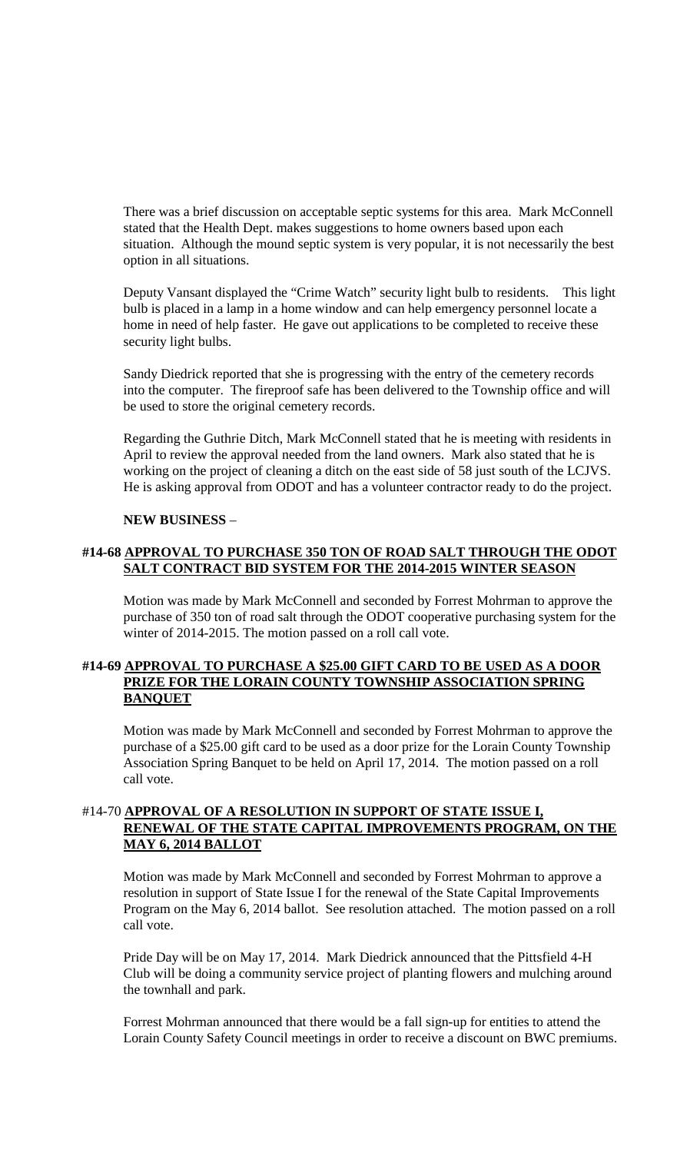There was a brief discussion on acceptable septic systems for this area. Mark McConnell stated that the Health Dept. makes suggestions to home owners based upon each situation. Although the mound septic system is very popular, it is not necessarily the best option in all situations.

Deputy Vansant displayed the "Crime Watch" security light bulb to residents. This light bulb is placed in a lamp in a home window and can help emergency personnel locate a home in need of help faster. He gave out applications to be completed to receive these security light bulbs.

Sandy Diedrick reported that she is progressing with the entry of the cemetery records into the computer. The fireproof safe has been delivered to the Township office and will be used to store the original cemetery records.

Regarding the Guthrie Ditch, Mark McConnell stated that he is meeting with residents in April to review the approval needed from the land owners. Mark also stated that he is working on the project of cleaning a ditch on the east side of 58 just south of the LCJVS. He is asking approval from ODOT and has a volunteer contractor ready to do the project.

#### **NEW BUSINESS** –

# **#14-68 APPROVAL TO PURCHASE 350 TON OF ROAD SALT THROUGH THE ODOT SALT CONTRACT BID SYSTEM FOR THE 2014-2015 WINTER SEASON**

Motion was made by Mark McConnell and seconded by Forrest Mohrman to approve the purchase of 350 ton of road salt through the ODOT cooperative purchasing system for the winter of 2014-2015. The motion passed on a roll call vote.

#### **#14-69 APPROVAL TO PURCHASE A \$25.00 GIFT CARD TO BE USED AS A DOOR PRIZE FOR THE LORAIN COUNTY TOWNSHIP ASSOCIATION SPRING BANQUET**

Motion was made by Mark McConnell and seconded by Forrest Mohrman to approve the purchase of a \$25.00 gift card to be used as a door prize for the Lorain County Township Association Spring Banquet to be held on April 17, 2014. The motion passed on a roll call vote.

# #14-70 **APPROVAL OF A RESOLUTION IN SUPPORT OF STATE ISSUE I, RENEWAL OF THE STATE CAPITAL IMPROVEMENTS PROGRAM, ON THE MAY 6, 2014 BALLOT**

Motion was made by Mark McConnell and seconded by Forrest Mohrman to approve a resolution in support of State Issue I for the renewal of the State Capital Improvements Program on the May 6, 2014 ballot. See resolution attached. The motion passed on a roll call vote.

Pride Day will be on May 17, 2014. Mark Diedrick announced that the Pittsfield 4-H Club will be doing a community service project of planting flowers and mulching around the townhall and park.

Forrest Mohrman announced that there would be a fall sign-up for entities to attend the Lorain County Safety Council meetings in order to receive a discount on BWC premiums.